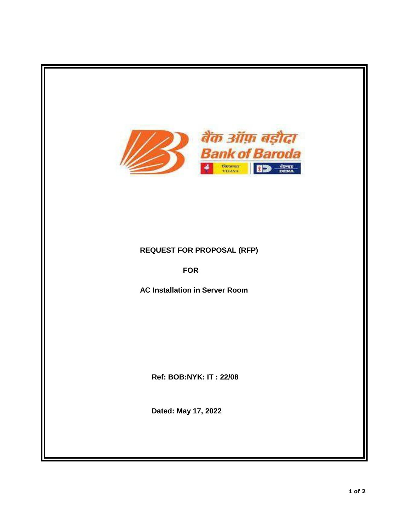